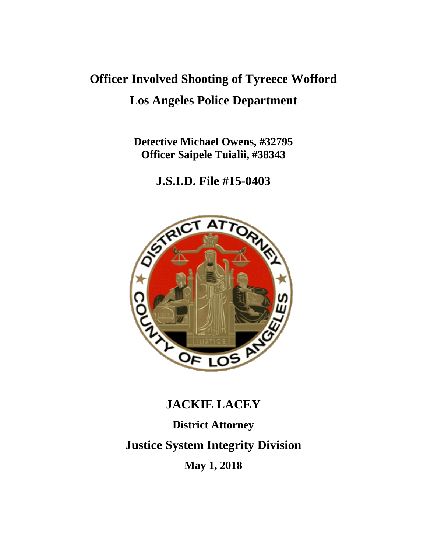# **Officer Involved Shooting of Tyreece Wofford Los Angeles Police Department**

**Detective Michael Owens, #32795 Officer Saipele Tuialii, #38343**

**J.S.I.D. File #15-0403**



# **JACKIE LACEY**

**District Attorney**

**Justice System Integrity Division**

**May 1, 2018**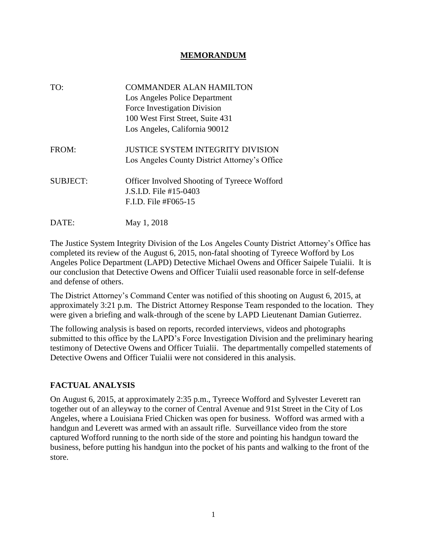### **MEMORANDUM**

| TO:             | <b>COMMANDER ALAN HAMILTON</b><br>Los Angeles Police Department<br>Force Investigation Division<br>100 West First Street, Suite 431<br>Los Angeles, California 90012 |
|-----------------|----------------------------------------------------------------------------------------------------------------------------------------------------------------------|
| FROM:           | <b>JUSTICE SYSTEM INTEGRITY DIVISION</b><br>Los Angeles County District Attorney's Office                                                                            |
| <b>SUBJECT:</b> | <b>Officer Involved Shooting of Tyreece Wofford</b><br>J.S.I.D. File #15-0403<br>F.I.D. File #F065-15                                                                |
| DATE:           | May 1, 2018                                                                                                                                                          |

The Justice System Integrity Division of the Los Angeles County District Attorney's Office has completed its review of the August 6, 2015, non-fatal shooting of Tyreece Wofford by Los Angeles Police Department (LAPD) Detective Michael Owens and Officer Saipele Tuialii. It is our conclusion that Detective Owens and Officer Tuialii used reasonable force in self-defense and defense of others.

The District Attorney's Command Center was notified of this shooting on August 6, 2015, at approximately 3:21 p.m. The District Attorney Response Team responded to the location. They were given a briefing and walk-through of the scene by LAPD Lieutenant Damian Gutierrez.

The following analysis is based on reports, recorded interviews, videos and photographs submitted to this office by the LAPD's Force Investigation Division and the preliminary hearing testimony of Detective Owens and Officer Tuialii. The departmentally compelled statements of Detective Owens and Officer Tuialii were not considered in this analysis.

#### **FACTUAL ANALYSIS**

On August 6, 2015, at approximately 2:35 p.m., Tyreece Wofford and Sylvester Leverett ran together out of an alleyway to the corner of Central Avenue and 91st Street in the City of Los Angeles, where a Louisiana Fried Chicken was open for business. Wofford was armed with a handgun and Leverett was armed with an assault rifle. Surveillance video from the store captured Wofford running to the north side of the store and pointing his handgun toward the business, before putting his handgun into the pocket of his pants and walking to the front of the store.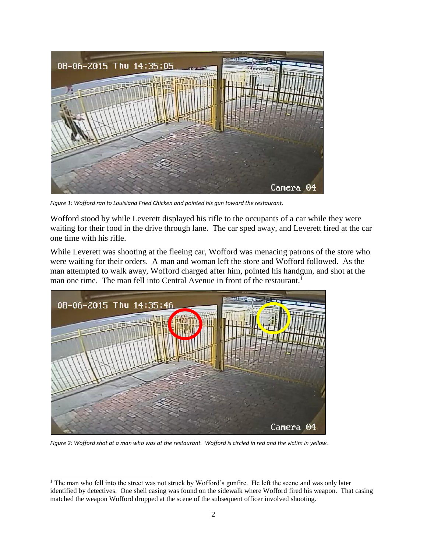

*Figure 1: Wofford ran to Louisiana Fried Chicken and pointed his gun toward the restaurant.*

Wofford stood by while Leverett displayed his rifle to the occupants of a car while they were waiting for their food in the drive through lane. The car sped away, and Leverett fired at the car one time with his rifle.

While Leverett was shooting at the fleeing car, Wofford was menacing patrons of the store who were waiting for their orders. A man and woman left the store and Wofford followed. As the man attempted to walk away, Wofford charged after him, pointed his handgun, and shot at the man one time. The man fell into Central Avenue in front of the restaurant.<sup>1</sup>



*Figure 2: Wofford shot at a man who was at the restaurant. Wofford is circled in red and the victim in yellow.*

<sup>1</sup> The man who fell into the street was not struck by Wofford's gunfire. He left the scene and was only later identified by detectives. One shell casing was found on the sidewalk where Wofford fired his weapon. That casing matched the weapon Wofford dropped at the scene of the subsequent officer involved shooting.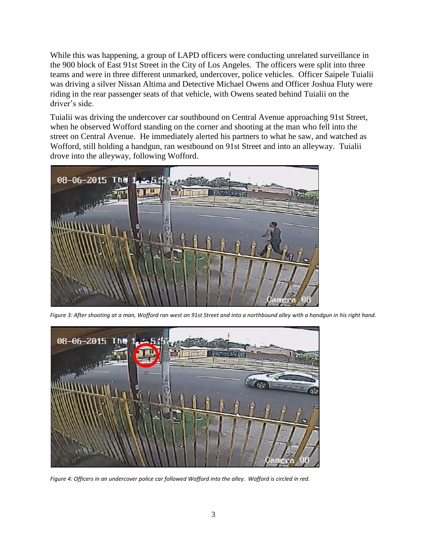While this was happening, a group of LAPD officers were conducting unrelated surveillance in the 900 block of East 91st Street in the City of Los Angeles. The officers were split into three teams and were in three different unmarked, undercover, police vehicles. Officer Saipele Tuialii was driving a silver Nissan Altima and Detective Michael Owens and Officer Joshua Fluty were riding in the rear passenger seats of that vehicle, with Owens seated behind Tuialii on the driver's side.

Tuialii was driving the undercover car southbound on Central Avenue approaching 91st Street, when he observed Wofford standing on the corner and shooting at the man who fell into the street on Central Avenue. He immediately alerted his partners to what he saw, and watched as Wofford, still holding a handgun, ran westbound on 91st Street and into an alleyway. Tuialii drove into the alleyway, following Wofford.



*Figure 3: After shooting at a man, Wofford ran west on 91st Street and into a northbound alley with a handgun in his right hand.*



*Figure 4: Officers in an undercover police car followed Wofford into the alley. Wofford is circled in red.*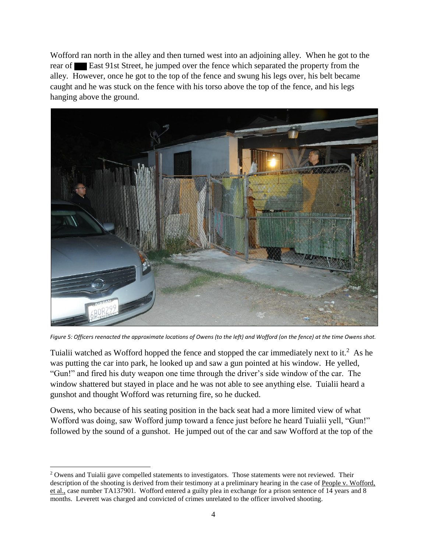Wofford ran north in the alley and then turned west into an adjoining alley. When he got to the rear of East 91st Street, he jumped over the fence which separated the property from the alley. However, once he got to the top of the fence and swung his legs over, his belt became caught and he was stuck on the fence with his torso above the top of the fence, and his legs hanging above the ground.



*Figure 5: Officers reenacted the approximate locations of Owens (to the left) and Wofford (on the fence) at the time Owens shot.*

Tuialii watched as Wofford hopped the fence and stopped the car immediately next to it.<sup>2</sup> As he was putting the car into park, he looked up and saw a gun pointed at his window. He yelled, "Gun!" and fired his duty weapon one time through the driver's side window of the car. The window shattered but stayed in place and he was not able to see anything else. Tuialii heard a gunshot and thought Wofford was returning fire, so he ducked.

Owens, who because of his seating position in the back seat had a more limited view of what Wofford was doing, saw Wofford jump toward a fence just before he heard Tuialii yell, "Gun!" followed by the sound of a gunshot. He jumped out of the car and saw Wofford at the top of the

 $2$  Owens and Tuialii gave compelled statements to investigators. Those statements were not reviewed. Their description of the shooting is derived from their testimony at a preliminary hearing in the case of People v. Wofford, et al., case number TA137901. Wofford entered a guilty plea in exchange for a prison sentence of 14 years and 8 months. Leverett was charged and convicted of crimes unrelated to the officer involved shooting.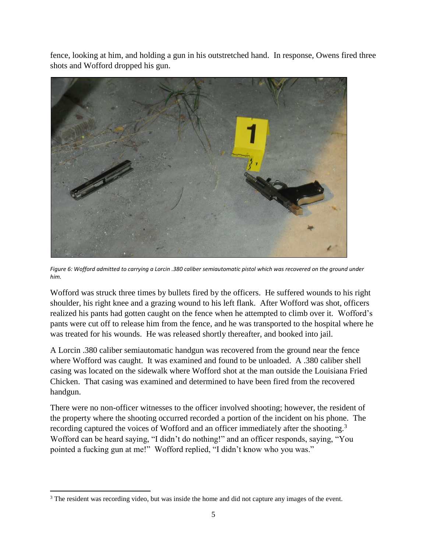fence, looking at him, and holding a gun in his outstretched hand. In response, Owens fired three shots and Wofford dropped his gun.



*Figure 6: Wofford admitted to carrying a Lorcin .380 caliber semiautomatic pistol which was recovered on the ground under him.*

Wofford was struck three times by bullets fired by the officers. He suffered wounds to his right shoulder, his right knee and a grazing wound to his left flank. After Wofford was shot, officers realized his pants had gotten caught on the fence when he attempted to climb over it. Wofford's pants were cut off to release him from the fence, and he was transported to the hospital where he was treated for his wounds. He was released shortly thereafter, and booked into jail.

A Lorcin .380 caliber semiautomatic handgun was recovered from the ground near the fence where Wofford was caught. It was examined and found to be unloaded. A .380 caliber shell casing was located on the sidewalk where Wofford shot at the man outside the Louisiana Fried Chicken. That casing was examined and determined to have been fired from the recovered handgun.

There were no non-officer witnesses to the officer involved shooting; however, the resident of the property where the shooting occurred recorded a portion of the incident on his phone. The recording captured the voices of Wofford and an officer immediately after the shooting.<sup>3</sup> Wofford can be heard saying, "I didn't do nothing!" and an officer responds, saying, "You pointed a fucking gun at me!" Wofford replied, "I didn't know who you was."

<sup>&</sup>lt;sup>3</sup> The resident was recording video, but was inside the home and did not capture any images of the event.